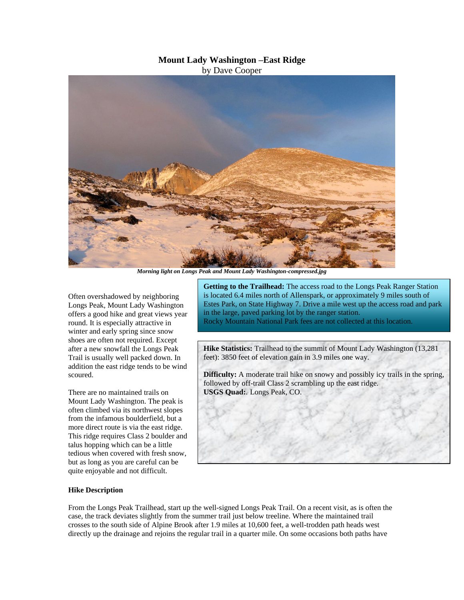## **Mount Lady Washington –East Ridge**

by Dave Cooper



*Morning light on Longs Peak and Mount Lady Washington-compressed.jpg*

Often overshadowed by neighboring Longs Peak, Mount Lady Washington offers a good hike and great views year round. It is especially attractive in winter and early spring since snow shoes are often not required. Except after a new snowfall the Longs Peak Trail is usually well packed down. In addition the east ridge tends to be wind scoured.

There are no maintained trails on Mount Lady Washington. The peak is often climbed via its northwest slopes from the infamous boulderfield, but a more direct route is via the east ridge. This ridge requires Class 2 boulder and talus hopping which can be a little tedious when covered with fresh snow, but as long as you are careful can be quite enjoyable and not difficult.

**Getting to the Trailhead:** The access road to the Longs Peak Ranger Station is located 6.4 miles north of Allenspark, or approximately 9 miles south of Estes Park, on State Highway 7. Drive a mile west up the access road and park in the large, paved parking lot by the ranger station.

Rocky Mountain National Park fees are not collected at this location.

**Hike Statistics:** Trailhead to the summit of Mount Lady Washington (13,281 feet): 3850 feet of elevation gain in 3.9 miles one way.

**Difficulty:** A moderate trail hike on snowy and possibly icy trails in the spring, followed by off-trail Class 2 scrambling up the east ridge. **USGS Quad:**. Longs Peak, CO.

## **Hike Description**

From the Longs Peak Trailhead, start up the well-signed Longs Peak Trail. On a recent visit, as is often the case, the track deviates slightly from the summer trail just below treeline. Where the maintained trail crosses to the south side of Alpine Brook after 1.9 miles at 10,600 feet, a well-trodden path heads west directly up the drainage and rejoins the regular trail in a quarter mile. On some occasions both paths have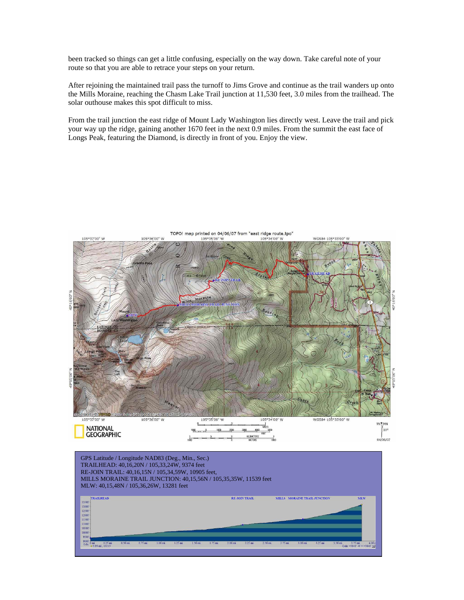been tracked so things can get a little confusing, especially on the way down. Take careful note of your route so that you are able to retrace your steps on your return.

After rejoining the maintained trail pass the turnoff to Jims Grove and continue as the trail wanders up onto the Mills Moraine, reaching the Chasm Lake Trail junction at 11,530 feet, 3.0 miles from the trailhead. The solar outhouse makes this spot difficult to miss.

From the trail junction the east ridge of Mount Lady Washington lies directly west. Leave the trail and pick your way up the ridge, gaining another 1670 feet in the next 0.9 miles. From the summit the east face of Longs Peak, featuring the Diamond, is directly in front of you. Enjoy the view.